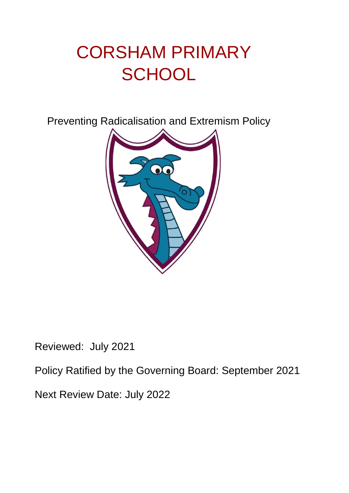# CORSHAM PRIMARY **SCHOOL**

Preventing Radicalisation and Extremism Policy



Reviewed: July 2021

Policy Ratified by the Governing Board: September 2021

Next Review Date: July 2022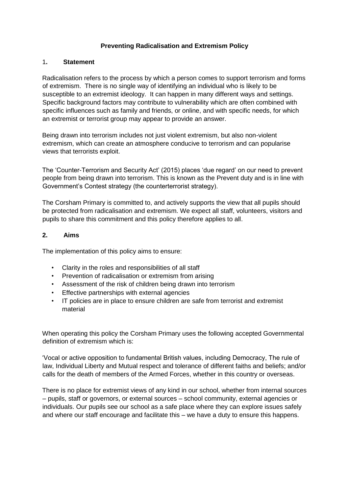#### **Preventing Radicalisation and Extremism Policy**

#### 1**. Statement**

Radicalisation refers to the process by which a person comes to support terrorism and forms of extremism. There is no single way of identifying an individual who is likely to be susceptible to an extremist ideology. It can happen in many different ways and settings. Specific background factors may contribute to vulnerability which are often combined with specific influences such as family and friends, or online, and with specific needs, for which an extremist or terrorist group may appear to provide an answer.

Being drawn into terrorism includes not just violent extremism, but also non-violent extremism, which can create an atmosphere conducive to terrorism and can popularise views that terrorists exploit.

The 'Counter-Terrorism and Security Act' (2015) places 'due regard' on our need to prevent people from being drawn into terrorism. This is known as the Prevent duty and is in line with Government's Contest strategy (the counterterrorist strategy).

The Corsham Primary is committed to, and actively supports the view that all pupils should be protected from radicalisation and extremism. We expect all staff, volunteers, visitors and pupils to share this commitment and this policy therefore applies to all.

#### **2. Aims**

The implementation of this policy aims to ensure:

- Clarity in the roles and responsibilities of all staff
- Prevention of radicalisation or extremism from arising
- Assessment of the risk of children being drawn into terrorism
- Effective partnerships with external agencies
- IT policies are in place to ensure children are safe from terrorist and extremist material

When operating this policy the Corsham Primary uses the following accepted Governmental definition of extremism which is:

'Vocal or active opposition to fundamental British values, including Democracy, The rule of law, Individual Liberty and Mutual respect and tolerance of different faiths and beliefs; and/or calls for the death of members of the Armed Forces, whether in this country or overseas.

There is no place for extremist views of any kind in our school, whether from internal sources – pupils, staff or governors, or external sources – school community, external agencies or individuals. Our pupils see our school as a safe place where they can explore issues safely and where our staff encourage and facilitate this – we have a duty to ensure this happens.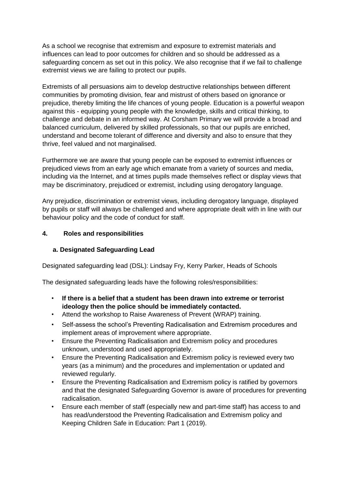As a school we recognise that extremism and exposure to extremist materials and influences can lead to poor outcomes for children and so should be addressed as a safeguarding concern as set out in this policy. We also recognise that if we fail to challenge extremist views we are failing to protect our pupils.

Extremists of all persuasions aim to develop destructive relationships between different communities by promoting division, fear and mistrust of others based on ignorance or prejudice, thereby limiting the life chances of young people. Education is a powerful weapon against this - equipping young people with the knowledge, skills and critical thinking, to challenge and debate in an informed way. At Corsham Primary we will provide a broad and balanced curriculum, delivered by skilled professionals, so that our pupils are enriched, understand and become tolerant of difference and diversity and also to ensure that they thrive, feel valued and not marginalised.

Furthermore we are aware that young people can be exposed to extremist influences or prejudiced views from an early age which emanate from a variety of sources and media, including via the Internet, and at times pupils made themselves reflect or display views that may be discriminatory, prejudiced or extremist, including using derogatory language.

Any prejudice, discrimination or extremist views, including derogatory language, displayed by pupils or staff will always be challenged and where appropriate dealt with in line with our behaviour policy and the code of conduct for staff.

#### **4. Roles and responsibilities**

#### **a. Designated Safeguarding Lead**

Designated safeguarding lead (DSL): Lindsay Fry, Kerry Parker, Heads of Schools

The designated safeguarding leads have the following roles/responsibilities:

- **If there is a belief that a student has been drawn into extreme or terrorist ideology then the police should be immediately contacted.**
- Attend the workshop to Raise Awareness of Prevent (WRAP) training.
- Self-assess the school's Preventing Radicalisation and Extremism procedures and implement areas of improvement where appropriate.
- Ensure the Preventing Radicalisation and Extremism policy and procedures unknown, understood and used appropriately.
- Ensure the Preventing Radicalisation and Extremism policy is reviewed every two years (as a minimum) and the procedures and implementation or updated and reviewed regularly.
- Ensure the Preventing Radicalisation and Extremism policy is ratified by governors and that the designated Safeguarding Governor is aware of procedures for preventing radicalisation.
- Ensure each member of staff (especially new and part-time staff) has access to and has read/understood the Preventing Radicalisation and Extremism policy and Keeping Children Safe in Education: Part 1 (2019).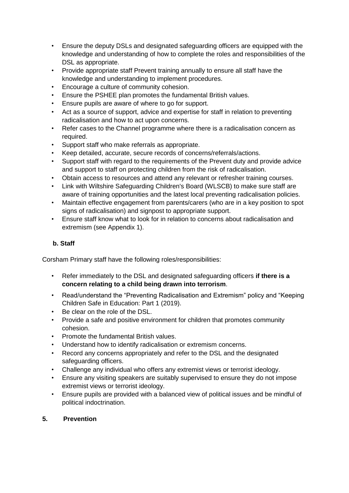- Ensure the deputy DSLs and designated safeguarding officers are equipped with the knowledge and understanding of how to complete the roles and responsibilities of the DSL as appropriate.
- Provide appropriate staff Prevent training annually to ensure all staff have the knowledge and understanding to implement procedures.
- Encourage a culture of community cohesion.
- Ensure the PSHEE plan promotes the fundamental British values.
- Ensure pupils are aware of where to go for support.
- Act as a source of support, advice and expertise for staff in relation to preventing radicalisation and how to act upon concerns.
- Refer cases to the Channel programme where there is a radicalisation concern as required.
- Support staff who make referrals as appropriate.
- Keep detailed, accurate, secure records of concerns/referrals/actions.
- Support staff with regard to the requirements of the Prevent duty and provide advice and support to staff on protecting children from the risk of radicalisation.
- Obtain access to resources and attend any relevant or refresher training courses.
- Link with Wiltshire Safeguarding Children's Board (WLSCB) to make sure staff are aware of training opportunities and the latest local preventing radicalisation policies.
- Maintain effective engagement from parents/carers (who are in a key position to spot signs of radicalisation) and signpost to appropriate support.
- Ensure staff know what to look for in relation to concerns about radicalisation and extremism (see Appendix 1).

#### **b. Staff**

Corsham Primary staff have the following roles/responsibilities:

- Refer immediately to the DSL and designated safeguarding officers **if there is a concern relating to a child being drawn into terrorism**.
- Read/understand the "Preventing Radicalisation and Extremism" policy and "Keeping Children Safe in Education: Part 1 (2019).
- Be clear on the role of the DSL.
- Provide a safe and positive environment for children that promotes community cohesion.
- Promote the fundamental British values.
- Understand how to identify radicalisation or extremism concerns.
- Record any concerns appropriately and refer to the DSL and the designated safeguarding officers.
- Challenge any individual who offers any extremist views or terrorist ideology.
- Ensure any visiting speakers are suitably supervised to ensure they do not impose extremist views or terrorist ideology.
- Ensure pupils are provided with a balanced view of political issues and be mindful of political indoctrination.

#### **5. Prevention**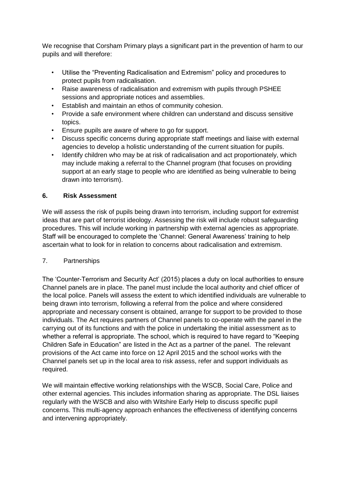We recognise that Corsham Primary plays a significant part in the prevention of harm to our pupils and will therefore:

- Utilise the "Preventing Radicalisation and Extremism" policy and procedures to protect pupils from radicalisation.
- Raise awareness of radicalisation and extremism with pupils through PSHEE sessions and appropriate notices and assemblies.
- Establish and maintain an ethos of community cohesion.
- Provide a safe environment where children can understand and discuss sensitive topics.
- Ensure pupils are aware of where to go for support.
- Discuss specific concerns during appropriate staff meetings and liaise with external agencies to develop a holistic understanding of the current situation for pupils.
- Identify children who may be at risk of radicalisation and act proportionately, which may include making a referral to the Channel program (that focuses on providing support at an early stage to people who are identified as being vulnerable to being drawn into terrorism).

#### **6. Risk Assessment**

We will assess the risk of pupils being drawn into terrorism, including support for extremist ideas that are part of terrorist ideology. Assessing the risk will include robust safeguarding procedures. This will include working in partnership with external agencies as appropriate. Staff will be encouraged to complete the 'Channel: General Awareness' training to help ascertain what to look for in relation to concerns about radicalisation and extremism.

#### 7. Partnerships

The 'Counter-Terrorism and Security Act' (2015) places a duty on local authorities to ensure Channel panels are in place. The panel must include the local authority and chief officer of the local police. Panels will assess the extent to which identified individuals are vulnerable to being drawn into terrorism, following a referral from the police and where considered appropriate and necessary consent is obtained, arrange for support to be provided to those individuals. The Act requires partners of Channel panels to co-operate with the panel in the carrying out of its functions and with the police in undertaking the initial assessment as to whether a referral is appropriate. The school, which is required to have regard to "Keeping Children Safe in Education" are listed in the Act as a partner of the panel. The relevant provisions of the Act came into force on 12 April 2015 and the school works with the Channel panels set up in the local area to risk assess, refer and support individuals as required.

We will maintain effective working relationships with the WSCB, Social Care, Police and other external agencies. This includes information sharing as appropriate. The DSL liaises regularly with the WSCB and also with Witshire Early Help to discuss specific pupil concerns. This multi-agency approach enhances the effectiveness of identifying concerns and intervening appropriately.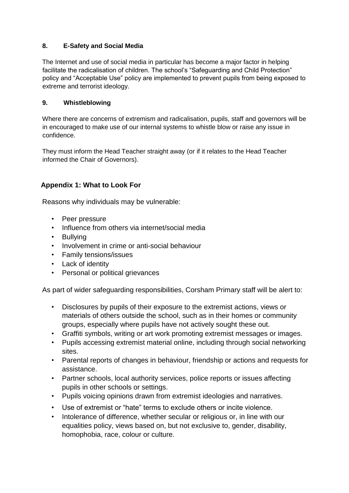## **8. E-Safety and Social Media**

The Internet and use of social media in particular has become a major factor in helping facilitate the radicalisation of children. The school's "Safeguarding and Child Protection" policy and "Acceptable Use" policy are implemented to prevent pupils from being exposed to extreme and terrorist ideology.

### **9. Whistleblowing**

Where there are concerns of extremism and radicalisation, pupils, staff and governors will be in encouraged to make use of our internal systems to whistle blow or raise any issue in confidence.

They must inform the Head Teacher straight away (or if it relates to the Head Teacher informed the Chair of Governors).

## **Appendix 1: What to Look For**

Reasons why individuals may be vulnerable:

- Peer pressure
- Influence from others via internet/social media
- Bullying
- Involvement in crime or anti-social behaviour
- Family tensions/issues
- Lack of identity
- Personal or political grievances

As part of wider safeguarding responsibilities, Corsham Primary staff will be alert to:

- Disclosures by pupils of their exposure to the extremist actions, views or materials of others outside the school, such as in their homes or community groups, especially where pupils have not actively sought these out.
- Graffiti symbols, writing or art work promoting extremist messages or images.
- Pupils accessing extremist material online, including through social networking sites.
- Parental reports of changes in behaviour, friendship or actions and requests for assistance.
- Partner schools, local authority services, police reports or issues affecting pupils in other schools or settings.
- Pupils voicing opinions drawn from extremist ideologies and narratives.
- Use of extremist or "hate" terms to exclude others or incite violence.
- Intolerance of difference, whether secular or religious or, in line with our equalities policy, views based on, but not exclusive to, gender, disability, homophobia, race, colour or culture.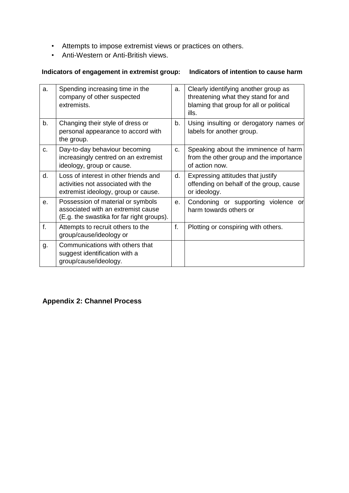- Attempts to impose extremist views or practices on others.
- Anti-Western or Anti-British views.

## **Indicators of engagement in extremist group: Indicators of intention to cause harm**

| a.             | Spending increasing time in the<br>company of other suspected<br>extremists.                                         | a. | Clearly identifying another group as<br>threatening what they stand for and<br>blaming that group for all or political<br>ills. |
|----------------|----------------------------------------------------------------------------------------------------------------------|----|---------------------------------------------------------------------------------------------------------------------------------|
| b.             | Changing their style of dress or<br>personal appearance to accord with<br>the group.                                 | b. | Using insulting or derogatory names or<br>labels for another group.                                                             |
| c.             | Day-to-day behaviour becoming<br>increasingly centred on an extremist<br>ideology, group or cause.                   | C. | Speaking about the imminence of harm<br>from the other group and the importance<br>of action now.                               |
| d.             | Loss of interest in other friends and<br>activities not associated with the<br>extremist ideology, group or cause.   | d. | Expressing attitudes that justify<br>offending on behalf of the group, cause<br>or ideology.                                    |
| $\mathbf{e}$ . | Possession of material or symbols<br>associated with an extremist cause<br>(E.g. the swastika for far right groups). | е. | Condoning or supporting violence or<br>harm towards others or                                                                   |
| f.             | Attempts to recruit others to the<br>group/cause/ideology or                                                         | f. | Plotting or conspiring with others.                                                                                             |
| g.             | Communications with others that<br>suggest identification with a<br>group/cause/ideology.                            |    |                                                                                                                                 |

## **Appendix 2: Channel Process**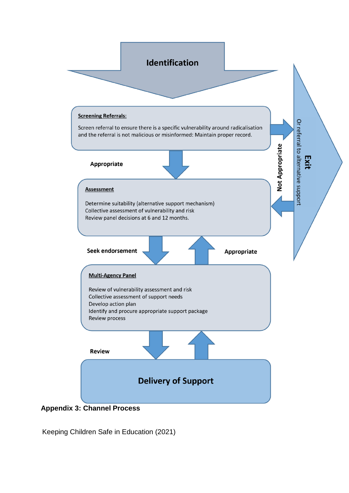

Keeping Children Safe in Education (2021)